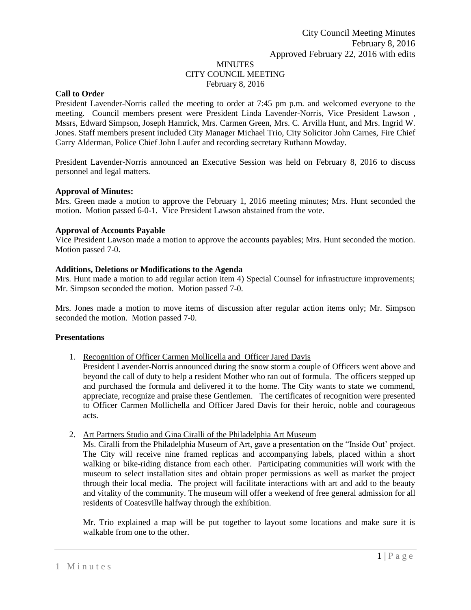# MINUTES CITY COUNCIL MEETING February 8, 2016

### **Call to Order**

President Lavender-Norris called the meeting to order at 7:45 pm p.m. and welcomed everyone to the meeting. Council members present were President Linda Lavender-Norris, Vice President Lawson , Mssrs, Edward Simpson, Joseph Hamrick, Mrs. Carmen Green, Mrs. C. Arvilla Hunt, and Mrs. Ingrid W. Jones. Staff members present included City Manager Michael Trio, City Solicitor John Carnes, Fire Chief Garry Alderman, Police Chief John Laufer and recording secretary Ruthann Mowday.

President Lavender-Norris announced an Executive Session was held on February 8, 2016 to discuss personnel and legal matters.

### **Approval of Minutes:**

Mrs. Green made a motion to approve the February 1, 2016 meeting minutes; Mrs. Hunt seconded the motion. Motion passed 6-0-1. Vice President Lawson abstained from the vote.

### **Approval of Accounts Payable**

Vice President Lawson made a motion to approve the accounts payables; Mrs. Hunt seconded the motion. Motion passed 7-0.

### **Additions, Deletions or Modifications to the Agenda**

Mrs. Hunt made a motion to add regular action item 4) Special Counsel for infrastructure improvements; Mr. Simpson seconded the motion. Motion passed 7-0.

Mrs. Jones made a motion to move items of discussion after regular action items only; Mr. Simpson seconded the motion. Motion passed 7-0.

# **Presentations**

1. Recognition of Officer Carmen Mollicella and Officer Jared Davis

President Lavender-Norris announced during the snow storm a couple of Officers went above and beyond the call of duty to help a resident Mother who ran out of formula. The officers stepped up and purchased the formula and delivered it to the home. The City wants to state we commend, appreciate, recognize and praise these Gentlemen. The certificates of recognition were presented to Officer Carmen Mollichella and Officer Jared Davis for their heroic, noble and courageous acts.

#### 2. Art Partners Studio and Gina Ciralli of the Philadelphia Art Museum

Ms. Ciralli from the Philadelphia Museum of Art, gave a presentation on the "Inside Out' project. The City will receive nine framed replicas and accompanying labels, placed within a short walking or bike-riding distance from each other. Participating communities will work with the museum to select installation sites and obtain proper permissions as well as market the project through their local media. The project will facilitate interactions with art and add to the beauty and vitality of the community. The museum will offer a weekend of free general admission for all residents of Coatesville halfway through the exhibition.

Mr. Trio explained a map will be put together to layout some locations and make sure it is walkable from one to the other.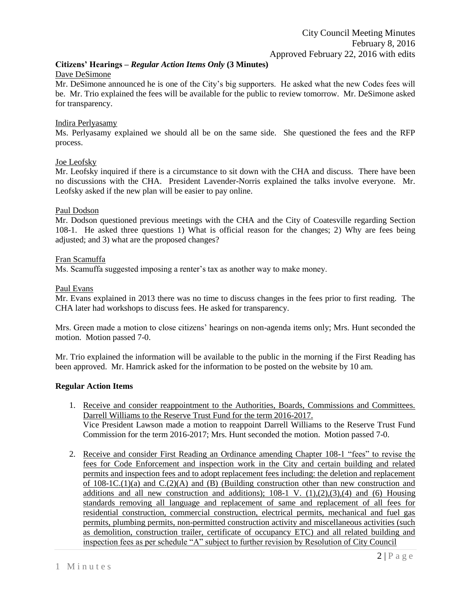### **Citizens' Hearings –** *Regular Action Items Only* **(3 Minutes)** Dave DeSimone

Mr. DeSimone announced he is one of the City's big supporters. He asked what the new Codes fees will be. Mr. Trio explained the fees will be available for the public to review tomorrow. Mr. DeSimone asked for transparency.

# Indira Perlyasamy

Ms. Perlyasamy explained we should all be on the same side. She questioned the fees and the RFP process.

# Joe Leofsky

Mr. Leofsky inquired if there is a circumstance to sit down with the CHA and discuss. There have been no discussions with the CHA. President Lavender-Norris explained the talks involve everyone. Mr. Leofsky asked if the new plan will be easier to pay online.

# Paul Dodson

Mr. Dodson questioned previous meetings with the CHA and the City of Coatesville regarding Section 108-1. He asked three questions 1) What is official reason for the changes; 2) Why are fees being adjusted; and 3) what are the proposed changes?

# Fran Scamuffa

Ms. Scamuffa suggested imposing a renter's tax as another way to make money.

# Paul Evans

Mr. Evans explained in 2013 there was no time to discuss changes in the fees prior to first reading. The CHA later had workshops to discuss fees. He asked for transparency.

Mrs. Green made a motion to close citizens' hearings on non-agenda items only; Mrs. Hunt seconded the motion. Motion passed 7-0.

Mr. Trio explained the information will be available to the public in the morning if the First Reading has been approved. Mr. Hamrick asked for the information to be posted on the website by 10 am.

# **Regular Action Items**

- 1. Receive and consider reappointment to the Authorities, Boards, Commissions and Committees. Darrell Williams to the Reserve Trust Fund for the term 2016-2017. Vice President Lawson made a motion to reappoint Darrell Williams to the Reserve Trust Fund Commission for the term 2016-2017; Mrs. Hunt seconded the motion. Motion passed 7-0.
- 2. Receive and consider First Reading an Ordinance amending Chapter 108-1 "fees" to revise the fees for Code Enforcement and inspection work in the City and certain building and related permits and inspection fees and to adopt replacement fees including: the deletion and replacement of  $108-1C(1)(a)$  and  $C(2)(A)$  and  $(B)$  (Building construction other than new construction and additions and all new construction and additions);  $108-1$  V.  $(1),(2),(3),(4)$  and (6) Housing standards removing all language and replacement of same and replacement of all fees for residential construction, commercial construction, electrical permits, mechanical and fuel gas permits, plumbing permits, non-permitted construction activity and miscellaneous activities (such as demolition, construction trailer, certificate of occupancy ETC) and all related building and inspection fees as per schedule "A" subject to further revision by Resolution of City Council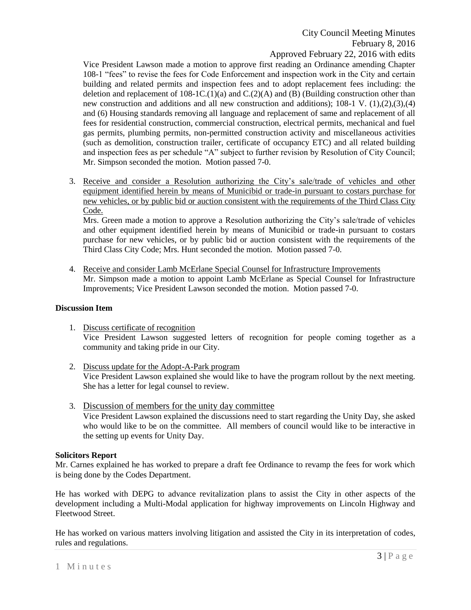Vice President Lawson made a motion to approve first reading an Ordinance amending Chapter 108-1 "fees" to revise the fees for Code Enforcement and inspection work in the City and certain building and related permits and inspection fees and to adopt replacement fees including: the deletion and replacement of  $108$ -1C.(1)(a) and C.(2)(A) and (B) (Building construction other than new construction and additions and all new construction and additions); 108-1 V. (1),(2),(3),(4) and (6) Housing standards removing all language and replacement of same and replacement of all fees for residential construction, commercial construction, electrical permits, mechanical and fuel gas permits, plumbing permits, non-permitted construction activity and miscellaneous activities (such as demolition, construction trailer, certificate of occupancy ETC) and all related building and inspection fees as per schedule "A" subject to further revision by Resolution of City Council; Mr. Simpson seconded the motion. Motion passed 7-0.

3. Receive and consider a Resolution authorizing the City's sale/trade of vehicles and other equipment identified herein by means of Municibid or trade-in pursuant to costars purchase for new vehicles, or by public bid or auction consistent with the requirements of the Third Class City Code.

Mrs. Green made a motion to approve a Resolution authorizing the City's sale/trade of vehicles and other equipment identified herein by means of Municibid or trade-in pursuant to costars purchase for new vehicles, or by public bid or auction consistent with the requirements of the Third Class City Code; Mrs. Hunt seconded the motion. Motion passed 7-0.

4. Receive and consider Lamb McErlane Special Counsel for Infrastructure Improvements Mr. Simpson made a motion to appoint Lamb McErlane as Special Counsel for Infrastructure Improvements; Vice President Lawson seconded the motion. Motion passed 7-0.

### **Discussion Item**

- 1. Discuss certificate of recognition Vice President Lawson suggested letters of recognition for people coming together as a community and taking pride in our City.
- 2. Discuss update for the Adopt-A-Park program Vice President Lawson explained she would like to have the program rollout by the next meeting. She has a letter for legal counsel to review.
- 3. Discussion of members for the unity day committee Vice President Lawson explained the discussions need to start regarding the Unity Day, she asked who would like to be on the committee. All members of council would like to be interactive in the setting up events for Unity Day.

# **Solicitors Report**

Mr. Carnes explained he has worked to prepare a draft fee Ordinance to revamp the fees for work which is being done by the Codes Department.

He has worked with DEPG to advance revitalization plans to assist the City in other aspects of the development including a Multi-Modal application for highway improvements on Lincoln Highway and Fleetwood Street.

He has worked on various matters involving litigation and assisted the City in its interpretation of codes, rules and regulations.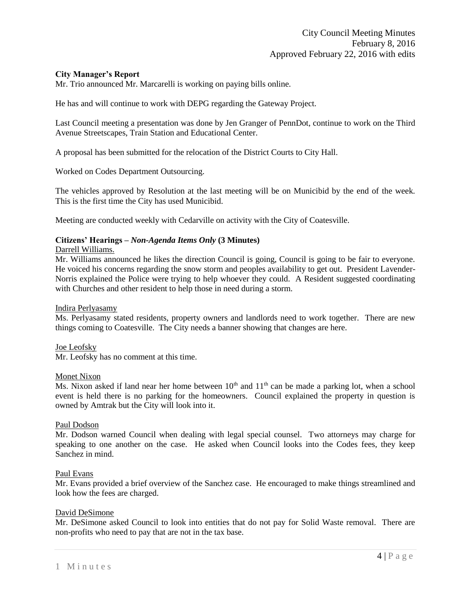# **City Manager's Report**

Mr. Trio announced Mr. Marcarelli is working on paying bills online.

He has and will continue to work with DEPG regarding the Gateway Project.

Last Council meeting a presentation was done by Jen Granger of PennDot, continue to work on the Third Avenue Streetscapes, Train Station and Educational Center.

A proposal has been submitted for the relocation of the District Courts to City Hall.

Worked on Codes Department Outsourcing.

The vehicles approved by Resolution at the last meeting will be on Municibid by the end of the week. This is the first time the City has used Municibid.

Meeting are conducted weekly with Cedarville on activity with the City of Coatesville.

# **Citizens' Hearings –** *Non-Agenda Items Only* **(3 Minutes)**

### Darrell Williams.

Mr. Williams announced he likes the direction Council is going, Council is going to be fair to everyone. He voiced his concerns regarding the snow storm and peoples availability to get out. President Lavender-Norris explained the Police were trying to help whoever they could. A Resident suggested coordinating with Churches and other resident to help those in need during a storm.

#### Indira Perlyasamy

Ms. Perlyasamy stated residents, property owners and landlords need to work together. There are new things coming to Coatesville. The City needs a banner showing that changes are here.

Joe Leofsky Mr. Leofsky has no comment at this time.

#### Monet Nixon

Ms. Nixon asked if land near her home between  $10<sup>th</sup>$  and  $11<sup>th</sup>$  can be made a parking lot, when a school event is held there is no parking for the homeowners. Council explained the property in question is owned by Amtrak but the City will look into it.

#### Paul Dodson

Mr. Dodson warned Council when dealing with legal special counsel. Two attorneys may charge for speaking to one another on the case. He asked when Council looks into the Codes fees, they keep Sanchez in mind.

#### Paul Evans

Mr. Evans provided a brief overview of the Sanchez case. He encouraged to make things streamlined and look how the fees are charged.

#### David DeSimone

Mr. DeSimone asked Council to look into entities that do not pay for Solid Waste removal. There are non-profits who need to pay that are not in the tax base.